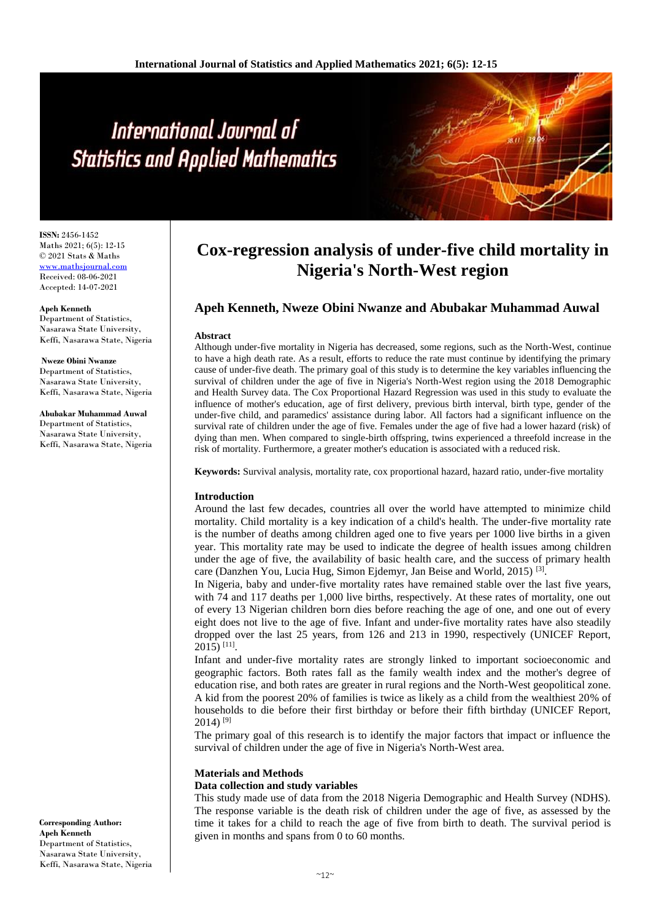# International Journal of **Statistics and Applied Mathematics**

**ISSN:** 2456-1452 Maths 2021; 6(5): 12-15 © 2021 Stats & Maths [www.mathsjournal.com](http://www.mathsjournal.com/) Received: 08-06-2021 Accepted: 14-07-2021

**Apeh Kenneth** Department of Statistics, Nasarawa State University, Keffi, Nasarawa State, Nigeria

**Nweze Obini Nwanze**  Department of Statistics,

Nasarawa State University, Keffi, Nasarawa State, Nigeria

**Abubakar Muhammad Auwal** Department of Statistics, Nasarawa State University, Keffi, Nasarawa State, Nigeria

### **Corresponding Author: Apeh Kenneth**  Department of Statistics, Nasarawa State University, Keffi, Nasarawa State, Nigeria

## **Cox-regression analysis of under-five child mortality in Nigeria's North-West region**

### **Apeh Kenneth, Nweze Obini Nwanze and Abubakar Muhammad Auwal**

### **Abstract**

Although under-five mortality in Nigeria has decreased, some regions, such as the North-West, continue to have a high death rate. As a result, efforts to reduce the rate must continue by identifying the primary cause of under-five death. The primary goal of this study is to determine the key variables influencing the survival of children under the age of five in Nigeria's North-West region using the 2018 Demographic and Health Survey data. The Cox Proportional Hazard Regression was used in this study to evaluate the influence of mother's education, age of first delivery, previous birth interval, birth type, gender of the under-five child, and paramedics' assistance during labor. All factors had a significant influence on the survival rate of children under the age of five. Females under the age of five had a lower hazard (risk) of dying than men. When compared to single-birth offspring, twins experienced a threefold increase in the risk of mortality. Furthermore, a greater mother's education is associated with a reduced risk.

**Keywords:** Survival analysis, mortality rate, cox proportional hazard, hazard ratio, under-five mortality

### **Introduction**

Around the last few decades, countries all over the world have attempted to minimize child mortality. Child mortality is a key indication of a child's health. The under-five mortality rate is the number of deaths among children aged one to five years per 1000 live births in a given year. This mortality rate may be used to indicate the degree of health issues among children under the age of five, the availability of basic health care, and the success of primary health care (Danzhen You, Lucia Hug, Simon Ejdemyr, Jan Beise and World, 2015)<sup>[3]</sup>.

In Nigeria, baby and under-five mortality rates have remained stable over the last five years, with 74 and 117 deaths per 1,000 live births, respectively. At these rates of mortality, one out of every 13 Nigerian children born dies before reaching the age of one, and one out of every eight does not live to the age of five. Infant and under-five mortality rates have also steadily dropped over the last 25 years, from 126 and 213 in 1990, respectively (UNICEF Report, 2015) [11] .

Infant and under-five mortality rates are strongly linked to important socioeconomic and geographic factors. Both rates fall as the family wealth index and the mother's degree of education rise, and both rates are greater in rural regions and the North-West geopolitical zone. A kid from the poorest 20% of families is twice as likely as a child from the wealthiest 20% of households to die before their first birthday or before their fifth birthday (UNICEF Report,  $2014$ )<sup>[9]</sup>

The primary goal of this research is to identify the major factors that impact or influence the survival of children under the age of five in Nigeria's North-West area.

### **Materials and Methods**

### **Data collection and study variables**

This study made use of data from the 2018 Nigeria Demographic and Health Survey (NDHS). The response variable is the death risk of children under the age of five, as assessed by the time it takes for a child to reach the age of five from birth to death. The survival period is given in months and spans from 0 to 60 months.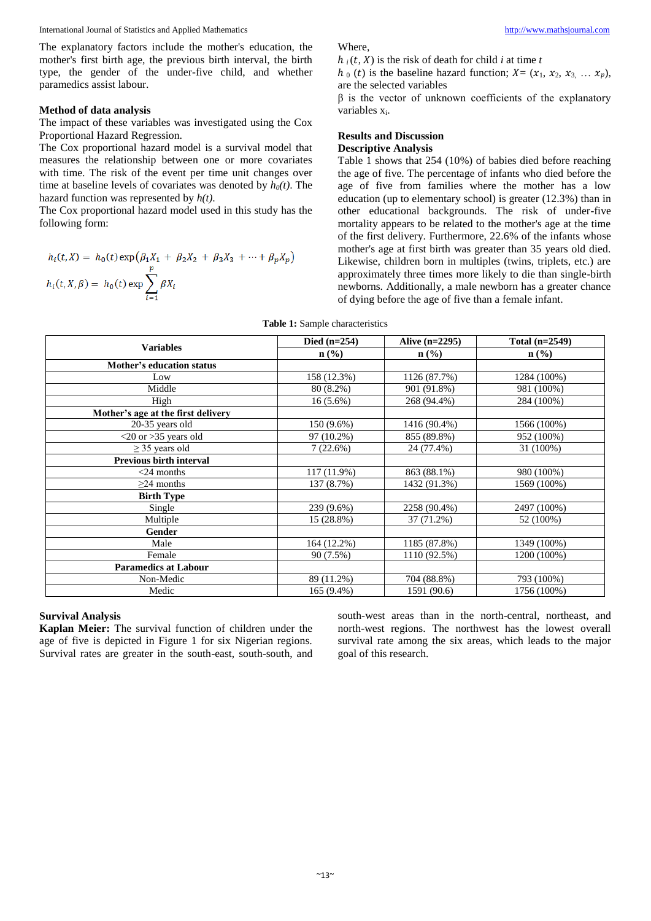International Journal of Statistics and Applied Mathematics [http://www.mathsjournal.com](http://www.mathsjournal.com/)

The explanatory factors include the mother's education, the mother's first birth age, the previous birth interval, the birth type, the gender of the under-five child, and whether paramedics assist labour.

### **Method of data analysis**

The impact of these variables was investigated using the Cox Proportional Hazard Regression.

The Cox proportional hazard model is a survival model that measures the relationship between one or more covariates with time. The risk of the event per time unit changes over time at baseline levels of covariates was denoted by *h0(t)*. The hazard function was represented by *h(t)*.

The Cox proportional hazard model used in this study has the following form:

$$
h_i(t, X) = h_0(t) \exp \left(\beta_1 X_1 + \beta_2 X_2 + \beta_3 X_3 + \dots + \beta_p X_p\right)
$$
  

$$
h_i(t, X, \beta) = h_0(t) \exp \sum_{i=1}^p \beta X_i
$$

Where,

 $h_i(t, X)$  is the risk of death for child *i* at time *t* 

 $h_0(t)$  is the baseline hazard function;  $X = (x_1, x_2, x_3, \dots, x_p)$ , are the selected variables

β is the vector of unknown coefficients of the explanatory variables xi.

### **Results and Discussion**

### **Descriptive Analysis**

Table 1 shows that 254 (10%) of babies died before reaching the age of five. The percentage of infants who died before the age of five from families where the mother has a low education (up to elementary school) is greater (12.3%) than in other educational backgrounds. The risk of under-five mortality appears to be related to the mother's age at the time of the first delivery. Furthermore, 22.6% of the infants whose mother's age at first birth was greater than 35 years old died. Likewise, children born in multiples (twins, triplets, etc.) are approximately three times more likely to die than single-birth newborns. Additionally, a male newborn has a greater chance of dying before the age of five than a female infant.

| <b>Variables</b>                   | Died $(n=254)$   | Alive $(n=2295)$ | Total $(n=2549)$ |
|------------------------------------|------------------|------------------|------------------|
|                                    | $\mathbf{n}(\%)$ | $\mathbf{n}(\%)$ | $\mathbf{n}(\%)$ |
| Mother's education status          |                  |                  |                  |
| Low                                | 158 (12.3%)      | 1126 (87.7%)     | 1284 (100%)      |
| Middle                             | 80 (8.2%)        | 901 (91.8%)      | 981 (100%)       |
| High                               | $16(5.6\%)$      | 268 (94.4%)      | 284 (100%)       |
| Mother's age at the first delivery |                  |                  |                  |
| 20-35 years old                    | 150 (9.6%)       | 1416 (90.4%)     | 1566 (100%)      |
| $<$ 20 or $>$ 35 years old         | 97 (10.2%)       | 855 (89.8%)      | 952 (100%)       |
| $\geq$ 35 years old                | 7(22.6%)         | 24 (77.4%)       | 31 (100%)        |
| <b>Previous birth interval</b>     |                  |                  |                  |
| $<$ 24 months                      | 117 (11.9%)      | 863 (88.1%)      | 980 (100%)       |
| $\geq$ 24 months                   | 137 (8.7%)       | 1432 (91.3%)     | 1569 (100%)      |
| <b>Birth Type</b>                  |                  |                  |                  |
| Single                             | 239 (9.6%)       | 2258 (90.4%)     | 2497 (100%)      |
| Multiple                           | 15 (28.8%)       | 37 (71.2%)       | 52 (100%)        |
| Gender                             |                  |                  |                  |
| Male                               | 164 (12.2%)      | 1185 (87.8%)     | 1349 (100%)      |
| Female                             | 90 (7.5%)        | 1110 (92.5%)     | 1200 (100%)      |
| <b>Paramedics at Labour</b>        |                  |                  |                  |
| Non-Medic                          | 89 (11.2%)       | 704 (88.8%)      | 793 (100%)       |
| Medic                              | 165 (9.4%)       | 1591 (90.6)      | 1756 (100%)      |

### **Table 1:** Sample characteristics

### **Survival Analysis**

**Kaplan Meier:** The survival function of children under the age of five is depicted in Figure 1 for six Nigerian regions. Survival rates are greater in the south-east, south-south, and south-west areas than in the north-central, northeast, and north-west regions. The northwest has the lowest overall survival rate among the six areas, which leads to the major goal of this research.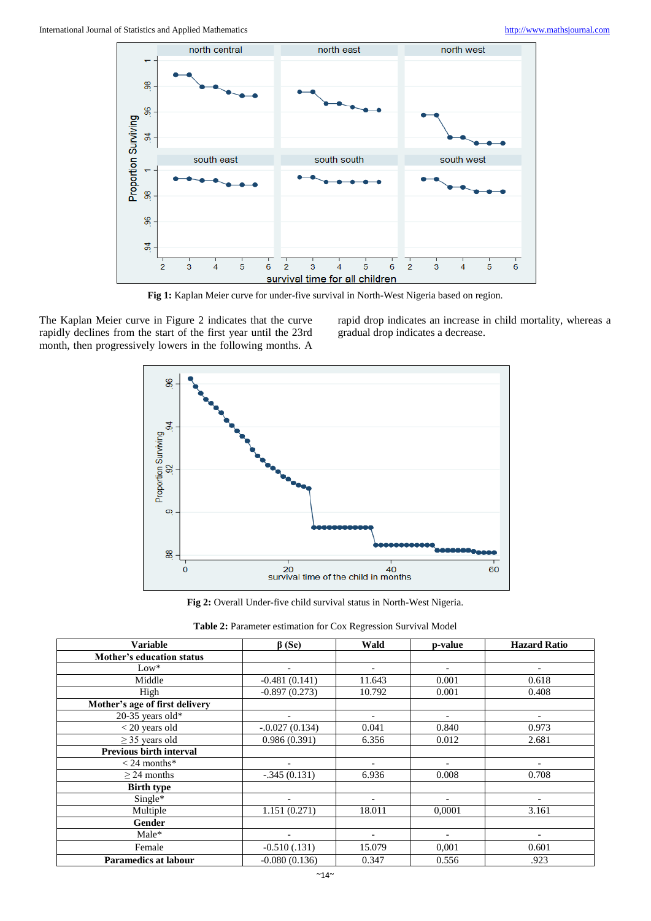

**Fig 1:** Kaplan Meier curve for under-five survival in North-West Nigeria based on region.

The Kaplan Meier curve in Figure 2 indicates that the curve rapidly declines from the start of the first year until the 23rd month, then progressively lowers in the following months. A

rapid drop indicates an increase in child mortality, whereas a gradual drop indicates a decrease.



**Fig 2:** Overall Under-five child survival status in North-West Nigeria.

| Table 2: Parameter estimation for Cox Regression Survival Model |  |  |  |
|-----------------------------------------------------------------|--|--|--|
|                                                                 |  |  |  |

| <b>Variable</b>                | $\beta$ (Se)             | Wald                     | p-value                  | <b>Hazard Ratio</b>      |
|--------------------------------|--------------------------|--------------------------|--------------------------|--------------------------|
| Mother's education status      |                          |                          |                          |                          |
| $Low*$                         | $\overline{\phantom{a}}$ | ٠                        | $\overline{\phantom{a}}$ | $\overline{\phantom{a}}$ |
| Middle                         | $-0.481(0.141)$          | 11.643                   | 0.001                    | 0.618                    |
| High                           | $-0.897(0.273)$          | 10.792                   | 0.001                    | 0.408                    |
| Mother's age of first delivery |                          |                          |                          |                          |
| 20-35 years old*               |                          | ٠                        | $\overline{\phantom{0}}$ |                          |
| $<$ 20 years old               | $-.0.027(0.134)$         | 0.041                    | 0.840                    | 0.973                    |
| $\geq$ 35 years old            | 0.986(0.391)             | 6.356                    | 0.012                    | 2.681                    |
| <b>Previous birth interval</b> |                          |                          |                          |                          |
| $<$ 24 months*                 | $\overline{\phantom{0}}$ | $\overline{\phantom{a}}$ | $\overline{a}$           |                          |
| $\geq$ 24 months               | $-.345(0.131)$           | 6.936                    | 0.008                    | 0.708                    |
| <b>Birth type</b>              |                          |                          |                          |                          |
| $Single*$                      | $\overline{\phantom{a}}$ | $\overline{a}$           | $\overline{\phantom{a}}$ | $\overline{\phantom{a}}$ |
| Multiple                       | 1.151(0.271)             | 18.011                   | 0.0001                   | 3.161                    |
| Gender                         |                          |                          |                          |                          |
| Male*                          | $\overline{\phantom{a}}$ | $\overline{\phantom{a}}$ | $\overline{\phantom{a}}$ | $\overline{\phantom{a}}$ |
| Female                         | $-0.510(.131)$           | 15.079                   | 0,001                    | 0.601                    |
| <b>Paramedics at labour</b>    | $-0.080(0.136)$          | 0.347                    | 0.556                    | .923                     |